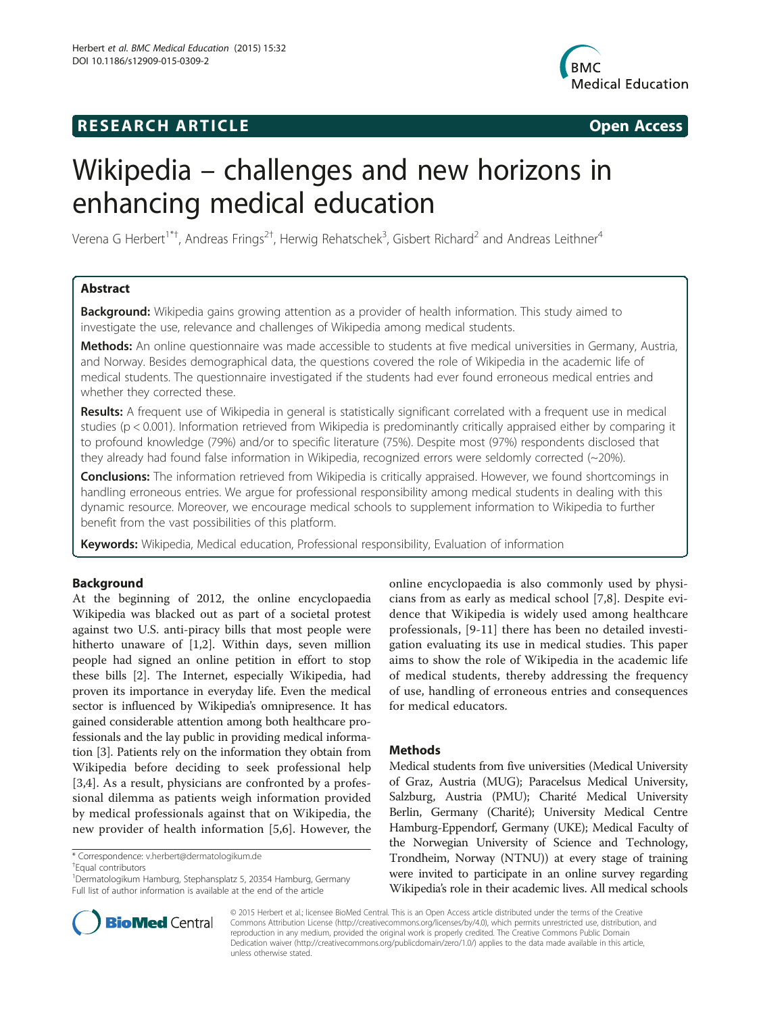# **RESEARCH ARTICLE Example 2014 The SEAR CH ACCESS**



# Wikipedia – challenges and new horizons in enhancing medical education

Verena G Herbert<sup>1\*†</sup>, Andreas Frings<sup>2†</sup>, Herwig Rehatschek<sup>3</sup>, Gisbert Richard<sup>2</sup> and Andreas Leithner<sup>4</sup>

# Abstract

Background: Wikipedia gains growing attention as a provider of health information. This study aimed to investigate the use, relevance and challenges of Wikipedia among medical students.

Methods: An online questionnaire was made accessible to students at five medical universities in Germany, Austria, and Norway. Besides demographical data, the questions covered the role of Wikipedia in the academic life of medical students. The questionnaire investigated if the students had ever found erroneous medical entries and whether they corrected these.

Results: A frequent use of Wikipedia in general is statistically significant correlated with a frequent use in medical studies (p < 0.001). Information retrieved from Wikipedia is predominantly critically appraised either by comparing it to profound knowledge (79%) and/or to specific literature (75%). Despite most (97%) respondents disclosed that they already had found false information in Wikipedia, recognized errors were seldomly corrected (~20%).

**Conclusions:** The information retrieved from Wikipedia is critically appraised. However, we found shortcomings in handling erroneous entries. We argue for professional responsibility among medical students in dealing with this dynamic resource. Moreover, we encourage medical schools to supplement information to Wikipedia to further benefit from the vast possibilities of this platform.

Keywords: Wikipedia, Medical education, Professional responsibility, Evaluation of information

## Background

At the beginning of 2012, the online encyclopaedia Wikipedia was blacked out as part of a societal protest against two U.S. anti-piracy bills that most people were hitherto unaware of [\[1,2](#page-4-0)]. Within days, seven million people had signed an online petition in effort to stop these bills [\[2](#page-4-0)]. The Internet, especially Wikipedia, had proven its importance in everyday life. Even the medical sector is influenced by Wikipedia's omnipresence. It has gained considerable attention among both healthcare professionals and the lay public in providing medical information [[3](#page-4-0)]. Patients rely on the information they obtain from Wikipedia before deciding to seek professional help [[3,4](#page-4-0)]. As a result, physicians are confronted by a professional dilemma as patients weigh information provided by medical professionals against that on Wikipedia, the new provider of health information [[5,6\]](#page-4-0). However, the

Equal contributors



### Methods

Medical students from five universities (Medical University of Graz, Austria (MUG); Paracelsus Medical University, Salzburg, Austria (PMU); Charité Medical University Berlin, Germany (Charité); University Medical Centre Hamburg-Eppendorf, Germany (UKE); Medical Faculty of the Norwegian University of Science and Technology, Trondheim, Norway (NTNU)) at every stage of training were invited to participate in an online survey regarding Wikipedia's role in their academic lives. All medical schools



© 2015 Herbert et al.; licensee BioMed Central. This is an Open Access article distributed under the terms of the Creative Commons Attribution License [\(http://creativecommons.org/licenses/by/4.0\)](http://creativecommons.org/licenses/by/4.0), which permits unrestricted use, distribution, and reproduction in any medium, provided the original work is properly credited. The Creative Commons Public Domain Dedication waiver [\(http://creativecommons.org/publicdomain/zero/1.0/](http://creativecommons.org/publicdomain/zero/1.0/)) applies to the data made available in this article, unless otherwise stated.

<sup>\*</sup> Correspondence: [v.herbert@dermatologikum.de](mailto:v.herbert@dermatologikum.de) †

<sup>1</sup> Dermatologikum Hamburg, Stephansplatz 5, 20354 Hamburg, Germany Full list of author information is available at the end of the article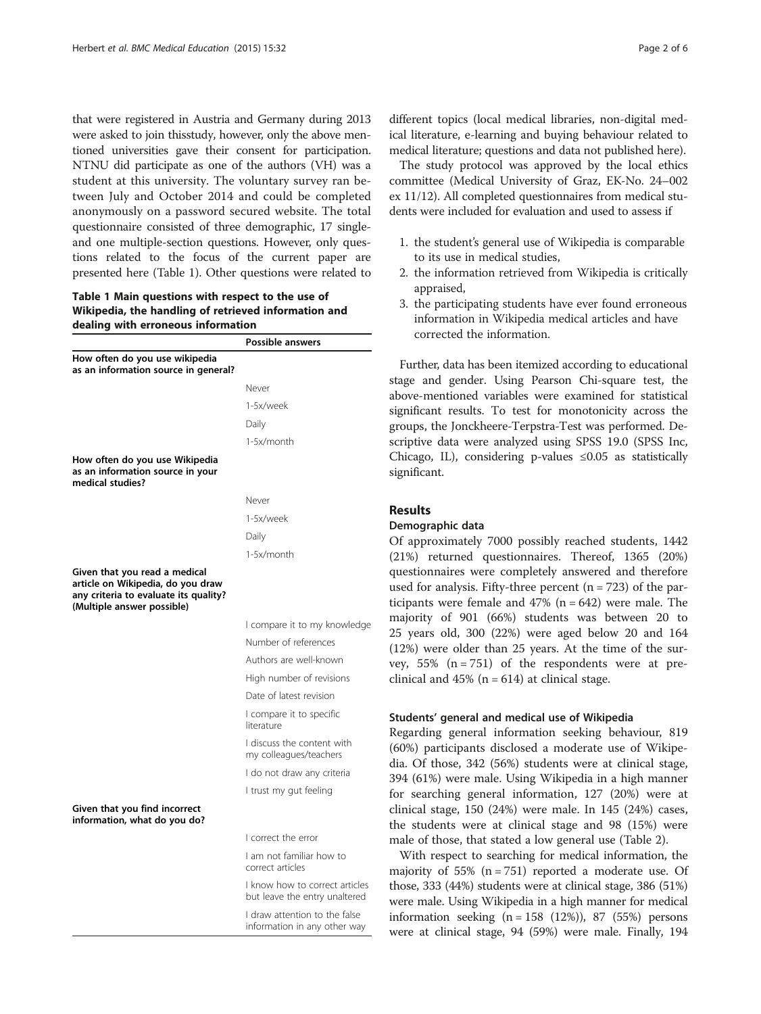that were registered in Austria and Germany during 2013 were asked to join thisstudy, however, only the above mentioned universities gave their consent for participation. NTNU did participate as one of the authors (VH) was a student at this university. The voluntary survey ran between July and October 2014 and could be completed anonymously on a password secured website. The total questionnaire consisted of three demographic, 17 singleand one multiple-section questions. However, only questions related to the focus of the current paper are presented here (Table 1). Other questions were related to

Table 1 Main questions with respect to the use of Wikipedia, the handling of retrieved information and dealing with erroneous information

|                                                                                                                                           | <b>Possible answers</b>                                         |
|-------------------------------------------------------------------------------------------------------------------------------------------|-----------------------------------------------------------------|
| How often do you use wikipedia<br>as an information source in general?                                                                    |                                                                 |
|                                                                                                                                           | Never                                                           |
|                                                                                                                                           | 1-5x/week                                                       |
|                                                                                                                                           | Daily                                                           |
|                                                                                                                                           | 1-5x/month                                                      |
| How often do you use Wikipedia<br>as an information source in your<br>medical studies?                                                    |                                                                 |
|                                                                                                                                           | Never                                                           |
|                                                                                                                                           | 1-5x/week                                                       |
|                                                                                                                                           | Daily                                                           |
|                                                                                                                                           | 1-5x/month                                                      |
| Given that you read a medical<br>article on Wikipedia, do you draw<br>any criteria to evaluate its quality?<br>(Multiple answer possible) |                                                                 |
|                                                                                                                                           | I compare it to my knowledge                                    |
|                                                                                                                                           | Number of references                                            |
|                                                                                                                                           | Authors are well-known                                          |
|                                                                                                                                           | High number of revisions                                        |
|                                                                                                                                           | Date of latest revision                                         |
|                                                                                                                                           | I compare it to specific<br>literature                          |
|                                                                                                                                           | I discuss the content with<br>my colleagues/teachers            |
|                                                                                                                                           | I do not draw any criteria                                      |
|                                                                                                                                           | I trust my gut feeling                                          |
| Given that you find incorrect<br>information, what do you do?                                                                             |                                                                 |
|                                                                                                                                           | I correct the error                                             |
|                                                                                                                                           | I am not familiar how to<br>correct articles                    |
|                                                                                                                                           | I know how to correct articles<br>but leave the entry unaltered |
|                                                                                                                                           | I draw attention to the false<br>information in any other way   |

different topics (local medical libraries, non-digital medical literature, e-learning and buying behaviour related to medical literature; questions and data not published here).

The study protocol was approved by the local ethics committee (Medical University of Graz, EK-No. 24–002 ex 11/12). All completed questionnaires from medical students were included for evaluation and used to assess if

- 1. the student's general use of Wikipedia is comparable to its use in medical studies,
- 2. the information retrieved from Wikipedia is critically appraised,
- 3. the participating students have ever found erroneous information in Wikipedia medical articles and have corrected the information.

Further, data has been itemized according to educational stage and gender. Using Pearson Chi-square test, the above-mentioned variables were examined for statistical significant results. To test for monotonicity across the groups, the Jonckheere-Terpstra-Test was performed. Descriptive data were analyzed using SPSS 19.0 (SPSS Inc, Chicago, IL), considering p-values ≤0.05 as statistically significant.

#### Results

#### Demographic data

Of approximately 7000 possibly reached students, 1442 (21%) returned questionnaires. Thereof, 1365 (20%) questionnaires were completely answered and therefore used for analysis. Fifty-three percent (n = 723) of the participants were female and  $47\%$  (n = 642) were male. The majority of 901 (66%) students was between 20 to 25 years old, 300 (22%) were aged below 20 and 164 (12%) were older than 25 years. At the time of the survey,  $55\%$  (n = 751) of the respondents were at preclinical and  $45\%$  (n = 614) at clinical stage.

#### itudents' general and medical use of Wikipedia

Regarding general information seeking behaviour, 819 (60%) participants disclosed a moderate use of Wikipedia. Of those, 342 (56%) students were at clinical stage, 394 (61%) were male. Using Wikipedia in a high manner for searching general information, 127 (20%) were at clinical stage, 150 (24%) were male. In 145 (24%) cases, the students were at clinical stage and 98 (15%) were male of those, that stated a low general use (Table [2](#page-2-0)).

With respect to searching for medical information, the majority of 55% (n = 751) reported a moderate use. Of those, 333 (44%) students were at clinical stage, 386 (51%) were male. Using Wikipedia in a high manner for medical nformation seeking  $(n = 158 (12)$ , 87 (55%) persons were at clinical stage, 94 (59%) were male. Finally, 194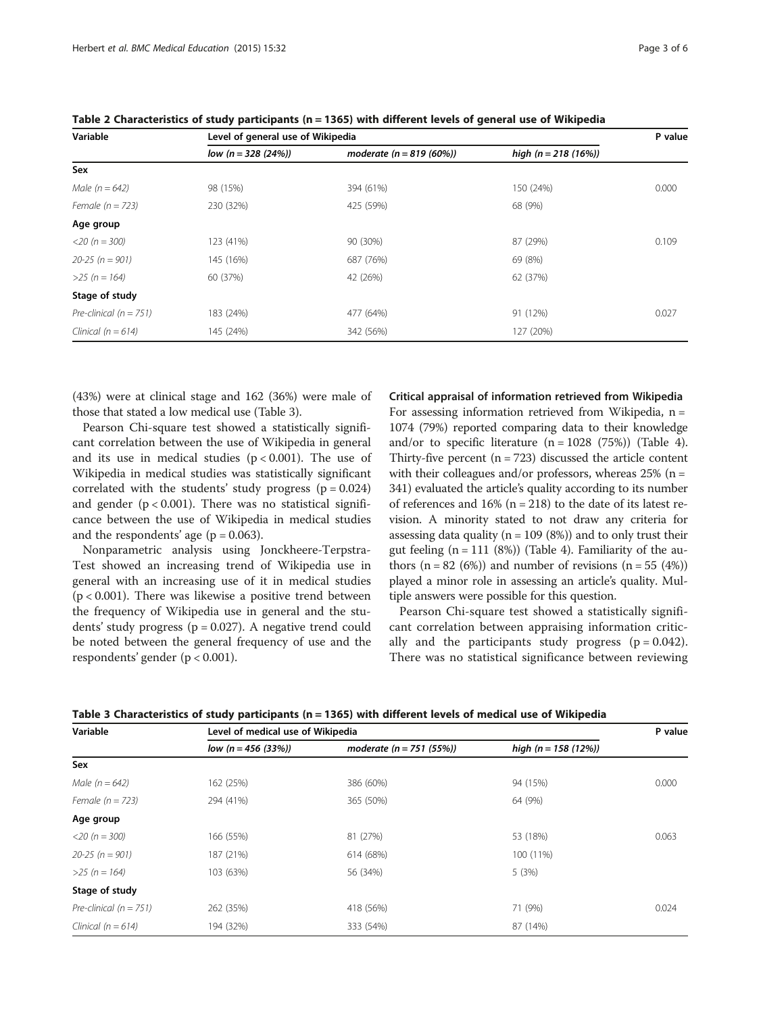| Page 3 of 6 |  |  |
|-------------|--|--|
|             |  |  |

| Variable                   | Level of general use of Wikipedia |                             |                       |       |  |
|----------------------------|-----------------------------------|-----------------------------|-----------------------|-------|--|
|                            | $low (n = 328 (24\%)$             | moderate ( $n = 819$ (60%)) | high $(n = 218 (16%)$ |       |  |
| Sex                        |                                   |                             |                       |       |  |
| Male $(n = 642)$           | 98 (15%)                          | 394 (61%)                   | 150 (24%)             | 0.000 |  |
| Female $(n = 723)$         | 230 (32%)                         | 425 (59%)                   | 68 (9%)               |       |  |
| Age group                  |                                   |                             |                       |       |  |
| $<$ 20 (n = 300)           | 123 (41%)                         | 90 (30%)                    | 87 (29%)              | 0.109 |  |
| $20 - 25$ (n = 901)        | 145 (16%)                         | 687 (76%)                   | 69 (8%)               |       |  |
| $>25 (n = 164)$            | 60 (37%)                          | 42 (26%)                    | 62 (37%)              |       |  |
| Stage of study             |                                   |                             |                       |       |  |
| Pre-clinical ( $n = 751$ ) | 183 (24%)                         | 477 (64%)                   | 91 (12%)              | 0.027 |  |
| Clinical ( $n = 614$ )     | 145 (24%)                         | 342 (56%)                   | 127 (20%)             |       |  |

<span id="page-2-0"></span>Table 2 Characteristics of study participants (n = 1365) with different levels of general use of Wikipedia

(43%) were at clinical stage and 162 (36%) were male of those that stated a low medical use (Table 3).

Pearson Chi-square test showed a statistically significant correlation between the use of Wikipedia in general and its use in medical studies  $(p < 0.001)$ . The use of Wikipedia in medical studies was statistically significant correlated with the students' study progress  $(p = 0.024)$ and gender  $(p < 0.001)$ . There was no statistical significance between the use of Wikipedia in medical studies and the respondents' age ( $p = 0.063$ ).

Nonparametric analysis using Jonckheere-Terpstra-Test showed an increasing trend of Wikipedia use in general with an increasing use of it in medical studies  $(p < 0.001)$ . There was likewise a positive trend between the frequency of Wikipedia use in general and the students' study progress ( $p = 0.027$ ). A negative trend could be noted between the general frequency of use and the respondents' gender (p < 0.001).

Critical appraisal of information retrieved from Wikipedia

For assessing information retrieved from Wikipedia,  $n =$ 1074 (79%) reported comparing data to their knowledge and/or to specific literature  $(n = 1028 (75\%)$  (Table [4](#page-3-0)). Thirty-five percent  $(n = 723)$  discussed the article content with their colleagues and/or professors, whereas  $25%$  (n = 341) evaluated the article's quality according to its number of references and  $16\%$  (n = 218) to the date of its latest revision. A minority stated to not draw any criteria for assessing data quality ( $n = 109$  (8%)) and to only trust their gut feeling  $(n = 111 (8\%)$  (Table [4\)](#page-3-0). Familiarity of the authors  $(n = 82 (6%)$  and number of revisions  $(n = 55 (4%)$ played a minor role in assessing an article's quality. Multiple answers were possible for this question.

Pearson Chi-square test showed a statistically significant correlation between appraising information critically and the participants study progress  $(p = 0.042)$ . There was no statistical significance between reviewing

| Variable                   | Level of medical use of Wikipedia |                             |                        |       |
|----------------------------|-----------------------------------|-----------------------------|------------------------|-------|
|                            | $low (n = 456 (33\%)$             | moderate ( $n = 751$ (55%)) | high $(n = 158 (12\%)$ |       |
| Sex                        |                                   |                             |                        |       |
| Male $(n = 642)$           | 162 (25%)                         | 386 (60%)                   | 94 (15%)               | 0.000 |
| Female $(n = 723)$         | 294 (41%)                         | 365 (50%)                   | 64 (9%)                |       |
| Age group                  |                                   |                             |                        |       |
| $<$ 20 (n = 300)           | 166 (55%)                         | 81 (27%)                    | 53 (18%)               | 0.063 |
| $20 - 25$ (n = 901)        | 187 (21%)                         | 614 (68%)                   | 100 (11%)              |       |
| $>25 (n = 164)$            | 103 (63%)                         | 56 (34%)                    | 5(3%)                  |       |
| Stage of study             |                                   |                             |                        |       |
| Pre-clinical ( $n = 751$ ) | 262 (35%)                         | 418 (56%)                   | 71 (9%)                | 0.024 |
| Clinical ( $n = 614$ )     | 194 (32%)                         | 333 (54%)                   | 87 (14%)               |       |

| Table 3 Characteristics of study participants (n = 1365) with different levels of medical use of Wikipedia |  |
|------------------------------------------------------------------------------------------------------------|--|
|------------------------------------------------------------------------------------------------------------|--|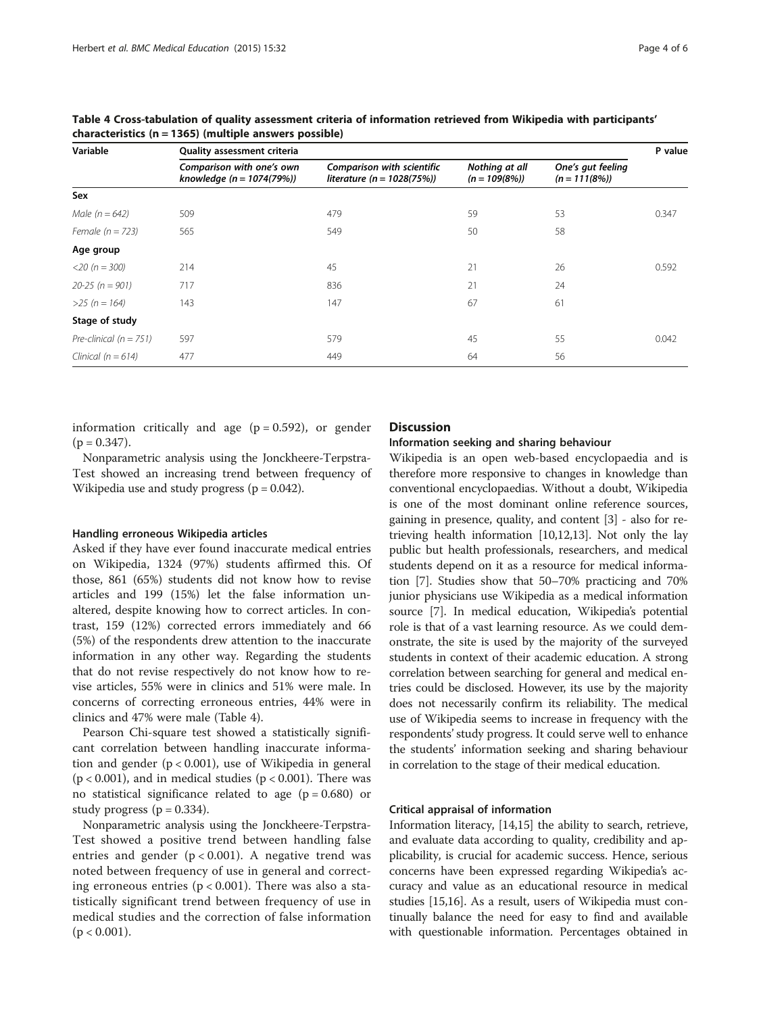| Page 4 of 6 |  |  |
|-------------|--|--|
|             |  |  |

| Variable                   | <b>Quality assessment criteria</b>                       |                                                              |                                   |                                      | P value |
|----------------------------|----------------------------------------------------------|--------------------------------------------------------------|-----------------------------------|--------------------------------------|---------|
|                            | Comparison with one's own<br>knowledge $(n = 1074(79\%)$ | Comparison with scientific<br>literature ( $n = 1028(75%)$ ) | Nothing at all<br>$(n = 109(8\%)$ | One's gut feeling<br>$(n = 111(8\%)$ |         |
| Sex                        |                                                          |                                                              |                                   |                                      |         |
| Male $(n = 642)$           | 509                                                      | 479                                                          | 59                                | 53                                   | 0.347   |
| Female $(n = 723)$         | 565                                                      | 549                                                          | 50                                | 58                                   |         |
| Age group                  |                                                          |                                                              |                                   |                                      |         |
| $<$ 20 (n = 300)           | 214                                                      | 45                                                           | 21                                | 26                                   | 0.592   |
| $20 - 25$ (n = 901)        | 717                                                      | 836                                                          | 21                                | 24                                   |         |
| $>25 (n = 164)$            | 143                                                      | 147                                                          | 67                                | 61                                   |         |
| Stage of study             |                                                          |                                                              |                                   |                                      |         |
| Pre-clinical ( $n = 751$ ) | 597                                                      | 579                                                          | 45                                | 55                                   | 0.042   |
| Clinical ( $n = 614$ )     | 477                                                      | 449                                                          | 64                                | 56                                   |         |

<span id="page-3-0"></span>Table 4 Cross-tabulation of quality assessment criteria of information retrieved from Wikipedia with participants' characteristics (n = 1365) (multiple answers possible)

information critically and age  $(p = 0.592)$ , or gender  $(p = 0.347)$ .

Nonparametric analysis using the Jonckheere-Terpstra-Test showed an increasing trend between frequency of Wikipedia use and study progress ( $p = 0.042$ ).

#### Handling erroneous Wikipedia articles

Asked if they have ever found inaccurate medical entries on Wikipedia, 1324 (97%) students affirmed this. Of those, 861 (65%) students did not know how to revise articles and 199 (15%) let the false information unaltered, despite knowing how to correct articles. In contrast, 159 (12%) corrected errors immediately and 66 (5%) of the respondents drew attention to the inaccurate information in any other way. Regarding the students that do not revise respectively do not know how to revise articles, 55% were in clinics and 51% were male. In concerns of correcting erroneous entries, 44% were in clinics and 47% were male (Table 4).

Pearson Chi-square test showed a statistically significant correlation between handling inaccurate information and gender (p < 0.001), use of Wikipedia in general  $(p < 0.001)$ , and in medical studies  $(p < 0.001)$ . There was no statistical significance related to age  $(p = 0.680)$  or study progress ( $p = 0.334$ ).

Nonparametric analysis using the Jonckheere-Terpstra-Test showed a positive trend between handling false entries and gender  $(p < 0.001)$ . A negative trend was noted between frequency of use in general and correcting erroneous entries ( $p < 0.001$ ). There was also a statistically significant trend between frequency of use in medical studies and the correction of false information  $(p < 0.001)$ .

#### **Discussion**

#### Information seeking and sharing behaviour

Wikipedia is an open web-based encyclopaedia and is therefore more responsive to changes in knowledge than conventional encyclopaedias. Without a doubt, Wikipedia is one of the most dominant online reference sources, gaining in presence, quality, and content [[3\]](#page-4-0) - also for retrieving health information [[10,12,13\]](#page-5-0). Not only the lay public but health professionals, researchers, and medical students depend on it as a resource for medical information [\[7](#page-5-0)]. Studies show that 50–70% practicing and 70% junior physicians use Wikipedia as a medical information source [\[7](#page-5-0)]. In medical education, Wikipedia's potential role is that of a vast learning resource. As we could demonstrate, the site is used by the majority of the surveyed students in context of their academic education. A strong correlation between searching for general and medical entries could be disclosed. However, its use by the majority does not necessarily confirm its reliability. The medical use of Wikipedia seems to increase in frequency with the respondents'study progress. It could serve well to enhance the students' information seeking and sharing behaviour in correlation to the stage of their medical education.

#### Critical appraisal of information

Information literacy, [\[14,15\]](#page-5-0) the ability to search, retrieve, and evaluate data according to quality, credibility and applicability, is crucial for academic success. Hence, serious concerns have been expressed regarding Wikipedia's accuracy and value as an educational resource in medical studies [[15,16](#page-5-0)]. As a result, users of Wikipedia must continually balance the need for easy to find and available with questionable information. Percentages obtained in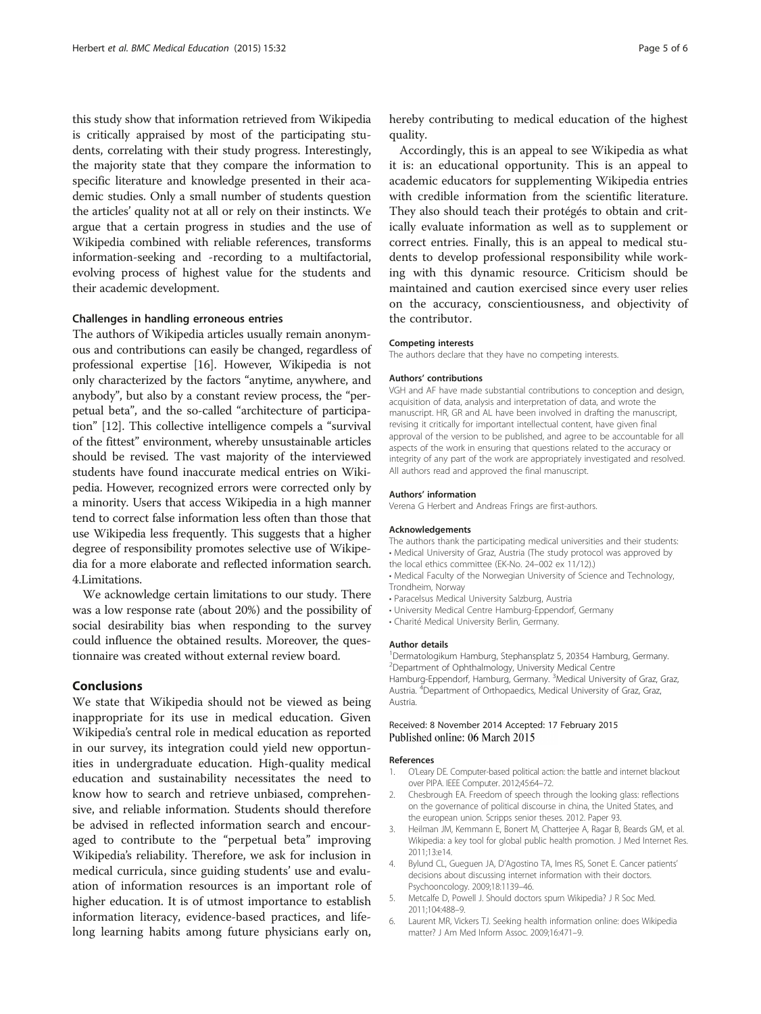<span id="page-4-0"></span>this study show that information retrieved from Wikipedia is critically appraised by most of the participating students, correlating with their study progress. Interestingly, the majority state that they compare the information to specific literature and knowledge presented in their academic studies. Only a small number of students question the articles' quality not at all or rely on their instincts. We argue that a certain progress in studies and the use of Wikipedia combined with reliable references, transforms information-seeking and -recording to a multifactorial, evolving process of highest value for the students and their academic development.

#### Challenges in handling erroneous entries

The authors of Wikipedia articles usually remain anonymous and contributions can easily be changed, regardless of professional expertise [[16](#page-5-0)]. However, Wikipedia is not only characterized by the factors "anytime, anywhere, and anybody", but also by a constant review process, the "perpetual beta", and the so-called "architecture of participation" [[12](#page-5-0)]. This collective intelligence compels a "survival of the fittest" environment, whereby unsustainable articles should be revised. The vast majority of the interviewed students have found inaccurate medical entries on Wikipedia. However, recognized errors were corrected only by a minority. Users that access Wikipedia in a high manner tend to correct false information less often than those that use Wikipedia less frequently. This suggests that a higher degree of responsibility promotes selective use of Wikipedia for a more elaborate and reflected information search. 4.Limitations.

We acknowledge certain limitations to our study. There was a low response rate (about 20%) and the possibility of social desirability bias when responding to the survey could influence the obtained results. Moreover, the questionnaire was created without external review board.

#### Conclusions

We state that Wikipedia should not be viewed as being inappropriate for its use in medical education. Given Wikipedia's central role in medical education as reported in our survey, its integration could yield new opportunities in undergraduate education. High-quality medical education and sustainability necessitates the need to know how to search and retrieve unbiased, comprehensive, and reliable information. Students should therefore be advised in reflected information search and encouraged to contribute to the "perpetual beta" improving Wikipedia's reliability. Therefore, we ask for inclusion in medical curricula, since guiding students' use and evaluation of information resources is an important role of higher education. It is of utmost importance to establish information literacy, evidence-based practices, and lifelong learning habits among future physicians early on,

hereby contributing to medical education of the highest quality.

Accordingly, this is an appeal to see Wikipedia as what it is: an educational opportunity. This is an appeal to academic educators for supplementing Wikipedia entries with credible information from the scientific literature. They also should teach their protégés to obtain and critically evaluate information as well as to supplement or correct entries. Finally, this is an appeal to medical students to develop professional responsibility while working with this dynamic resource. Criticism should be maintained and caution exercised since every user relies on the accuracy, conscientiousness, and objectivity of the contributor.

#### Competing interests

The authors declare that they have no competing interests.

#### Authors' contributions

VGH and AF have made substantial contributions to conception and design, acquisition of data, analysis and interpretation of data, and wrote the manuscript. HR, GR and AL have been involved in drafting the manuscript, revising it critically for important intellectual content, have given final approval of the version to be published, and agree to be accountable for all aspects of the work in ensuring that questions related to the accuracy or integrity of any part of the work are appropriately investigated and resolved. All authors read and approved the final manuscript.

#### Authors' information

Verena G Herbert and Andreas Frings are first-authors.

#### Acknowledgements

The authors thank the participating medical universities and their students: • Medical University of Graz, Austria (The study protocol was approved by

- the local ethics committee (EK-No. 24–002 ex 11/12).)
- Medical Faculty of the Norwegian University of Science and Technology, Trondheim, Norway
- Paracelsus Medical University Salzburg, Austria
- University Medical Centre Hamburg-Eppendorf, Germany
- Charité Medical University Berlin, Germany.
- 

#### Author details

1 Dermatologikum Hamburg, Stephansplatz 5, 20354 Hamburg, Germany. 2 Department of Ophthalmology, University Medical Centre Hamburg-Eppendorf, Hamburg, Germany. <sup>3</sup>Medical University of Graz, Graz, Austria. <sup>4</sup>Department of Orthopaedics, Medical University of Graz, Graz Austria.

#### Received: 8 November 2014 Accepted: 17 February 2015 Published online: 06 March 2015

#### References

- 1. O'Leary DE. Computer-based political action: the battle and internet blackout over PIPA. IEEE Computer. 2012;45:64–72.
- 2. Chesbrough EA. Freedom of speech through the looking glass: reflections on the governance of political discourse in china, the United States, and the european union. Scripps senior theses. 2012. Paper 93.
- 3. Heilman JM, Kemmann E, Bonert M, Chatterjee A, Ragar B, Beards GM, et al. Wikipedia: a key tool for global public health promotion. J Med Internet Res. 2011;13:e14.
- 4. Bylund CL, Gueguen JA, D'Agostino TA, Imes RS, Sonet E. Cancer patients' decisions about discussing internet information with their doctors. Psychooncology. 2009;18:1139–46.
- 5. Metcalfe D, Powell J. Should doctors spurn Wikipedia? J R Soc Med. 2011;104:488–9.
- 6. Laurent MR, Vickers TJ. Seeking health information online: does Wikipedia matter? J Am Med Inform Assoc. 2009;16:471–9.